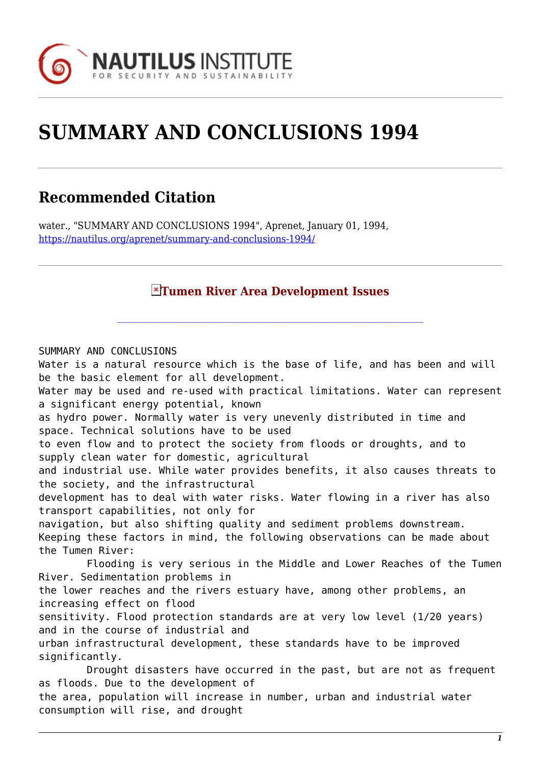

## **SUMMARY AND CONCLUSIONS 1994**

## **Recommended Citation**

water., "SUMMARY AND CONCLUSIONS 1994", Aprenet, January 01, 1994, <https://nautilus.org/aprenet/summary-and-conclusions-1994/>

## **Tumen River Area Development Issues**

SUMMARY AND CONCLUSIONS Water is a natural resource which is the base of life, and has been and will be the basic element for all development. Water may be used and re-used with practical limitations. Water can represent a significant energy potential, known as hydro power. Normally water is very unevenly distributed in time and space. Technical solutions have to be used to even flow and to protect the society from floods or droughts, and to supply clean water for domestic, agricultural and industrial use. While water provides benefits, it also causes threats to the society, and the infrastructural development has to deal with water risks. Water flowing in a river has also transport capabilities, not only for navigation, but also shifting quality and sediment problems downstream. Keeping these factors in mind, the following observations can be made about the Tumen River: Flooding is very serious in the Middle and Lower Reaches of the Tumen River. Sedimentation problems in the lower reaches and the rivers estuary have, among other problems, an increasing effect on flood sensitivity. Flood protection standards are at very low level (1/20 years) and in the course of industrial and urban infrastructural development, these standards have to be improved significantly. Drought disasters have occurred in the past, but are not as frequent as floods. Due to the development of the area, population will increase in number, urban and industrial water consumption will rise, and drought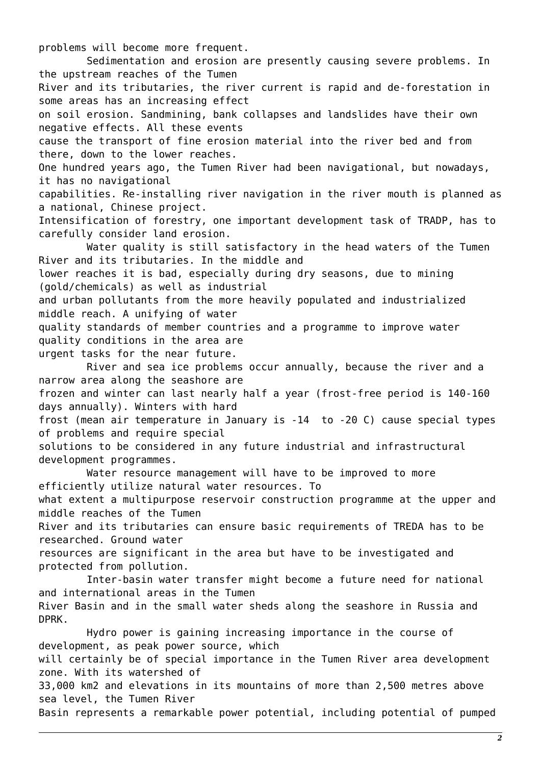problems will become more frequent. Sedimentation and erosion are presently causing severe problems. In the upstream reaches of the Tumen River and its tributaries, the river current is rapid and de-forestation in some areas has an increasing effect on soil erosion. Sandmining, bank collapses and landslides have their own negative effects. All these events cause the transport of fine erosion material into the river bed and from there, down to the lower reaches. One hundred years ago, the Tumen River had been navigational, but nowadays, it has no navigational capabilities. Re-installing river navigation in the river mouth is planned as a national, Chinese project. Intensification of forestry, one important development task of TRADP, has to carefully consider land erosion. Water quality is still satisfactory in the head waters of the Tumen River and its tributaries. In the middle and lower reaches it is bad, especially during dry seasons, due to mining (gold/chemicals) as well as industrial and urban pollutants from the more heavily populated and industrialized middle reach. A unifying of water quality standards of member countries and a programme to improve water quality conditions in the area are urgent tasks for the near future. River and sea ice problems occur annually, because the river and a narrow area along the seashore are frozen and winter can last nearly half a year (frost-free period is 140-160 days annually). Winters with hard frost (mean air temperature in January is -14 to -20 C) cause special types of problems and require special solutions to be considered in any future industrial and infrastructural development programmes. Water resource management will have to be improved to more efficiently utilize natural water resources. To what extent a multipurpose reservoir construction programme at the upper and middle reaches of the Tumen River and its tributaries can ensure basic requirements of TREDA has to be researched. Ground water resources are significant in the area but have to be investigated and protected from pollution. Inter-basin water transfer might become a future need for national and international areas in the Tumen River Basin and in the small water sheds along the seashore in Russia and DPRK. Hydro power is gaining increasing importance in the course of development, as peak power source, which will certainly be of special importance in the Tumen River area development zone. With its watershed of 33,000 km2 and elevations in its mountains of more than 2,500 metres above sea level, the Tumen River Basin represents a remarkable power potential, including potential of pumped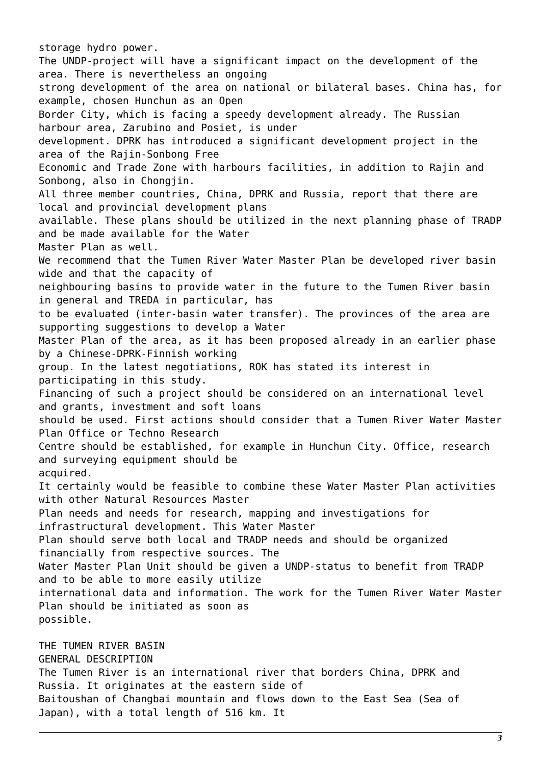storage hydro power. The UNDP-project will have a significant impact on the development of the area. There is nevertheless an ongoing strong development of the area on national or bilateral bases. China has, for example, chosen Hunchun as an Open Border City, which is facing a speedy development already. The Russian harbour area, Zarubino and Posiet, is under development. DPRK has introduced a significant development project in the area of the Rajin-Sonbong Free Economic and Trade Zone with harbours facilities, in addition to Rajin and Sonbong, also in Chongjin. All three member countries, China, DPRK and Russia, report that there are local and provincial development plans available. These plans should be utilized in the next planning phase of TRADP and be made available for the Water Master Plan as well. We recommend that the Tumen River Water Master Plan be developed river basin wide and that the capacity of neighbouring basins to provide water in the future to the Tumen River basin in general and TREDA in particular, has to be evaluated (inter-basin water transfer). The provinces of the area are supporting suggestions to develop a Water Master Plan of the area, as it has been proposed already in an earlier phase by a Chinese-DPRK-Finnish working group. In the latest negotiations, ROK has stated its interest in participating in this study. Financing of such a project should be considered on an international level and grants, investment and soft loans should be used. First actions should consider that a Tumen River Water Master Plan Office or Techno Research Centre should be established, for example in Hunchun City. Office, research and surveying equipment should be acquired. It certainly would be feasible to combine these Water Master Plan activities with other Natural Resources Master Plan needs and needs for research, mapping and investigations for infrastructural development. This Water Master Plan should serve both local and TRADP needs and should be organized financially from respective sources. The Water Master Plan Unit should be given a UNDP-status to benefit from TRADP and to be able to more easily utilize international data and information. The work for the Tumen River Water Master Plan should be initiated as soon as possible. THE TUMEN RIVER BASIN GENERAL DESCRIPTION

The Tumen River is an international river that borders China, DPRK and Russia. It originates at the eastern side of Baitoushan of Changbai mountain and flows down to the East Sea (Sea of Japan), with a total length of 516 km. It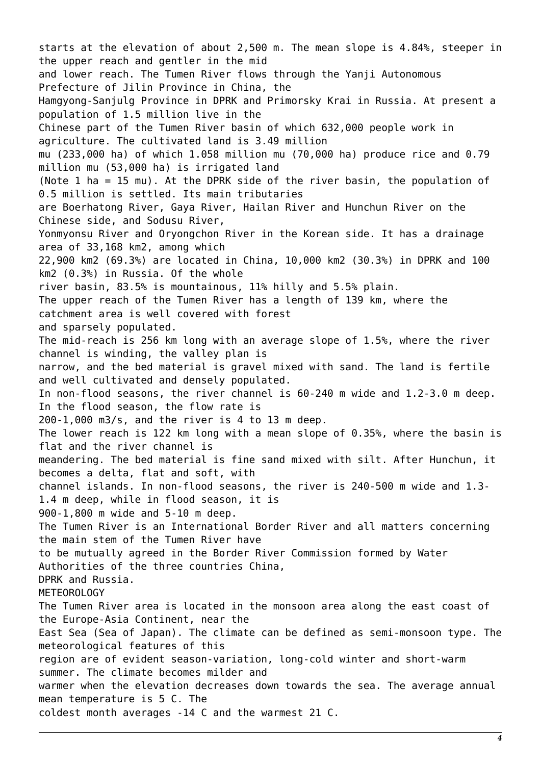starts at the elevation of about 2,500 m. The mean slope is 4.84%, steeper in the upper reach and gentler in the mid and lower reach. The Tumen River flows through the Yanji Autonomous Prefecture of Jilin Province in China, the Hamgyong-Sanjulg Province in DPRK and Primorsky Krai in Russia. At present a population of 1.5 million live in the Chinese part of the Tumen River basin of which 632,000 people work in agriculture. The cultivated land is 3.49 million mu (233,000 ha) of which 1.058 million mu (70,000 ha) produce rice and 0.79 million mu (53,000 ha) is irrigated land (Note 1 ha = 15 mu). At the DPRK side of the river basin, the population of 0.5 million is settled. Its main tributaries are Boerhatong River, Gaya River, Hailan River and Hunchun River on the Chinese side, and Sodusu River, Yonmyonsu River and Oryongchon River in the Korean side. It has a drainage area of 33,168 km2, among which 22,900 km2 (69.3%) are located in China, 10,000 km2 (30.3%) in DPRK and 100 km2 (0.3%) in Russia. Of the whole river basin, 83.5% is mountainous, 11% hilly and 5.5% plain. The upper reach of the Tumen River has a length of 139 km, where the catchment area is well covered with forest and sparsely populated. The mid-reach is 256 km long with an average slope of 1.5%, where the river channel is winding, the valley plan is narrow, and the bed material is gravel mixed with sand. The land is fertile and well cultivated and densely populated. In non-flood seasons, the river channel is 60-240 m wide and 1.2-3.0 m deep. In the flood season, the flow rate is 200-1,000 m3/s, and the river is 4 to 13 m deep. The lower reach is 122 km long with a mean slope of 0.35%, where the basin is flat and the river channel is meandering. The bed material is fine sand mixed with silt. After Hunchun, it becomes a delta, flat and soft, with channel islands. In non-flood seasons, the river is 240-500 m wide and 1.3- 1.4 m deep, while in flood season, it is 900-1,800 m wide and 5-10 m deep. The Tumen River is an International Border River and all matters concerning the main stem of the Tumen River have to be mutually agreed in the Border River Commission formed by Water Authorities of the three countries China, DPRK and Russia. METEOROLOGY The Tumen River area is located in the monsoon area along the east coast of the Europe-Asia Continent, near the East Sea (Sea of Japan). The climate can be defined as semi-monsoon type. The meteorological features of this region are of evident season-variation, long-cold winter and short-warm summer. The climate becomes milder and warmer when the elevation decreases down towards the sea. The average annual mean temperature is 5 C. The coldest month averages -14 C and the warmest 21 C.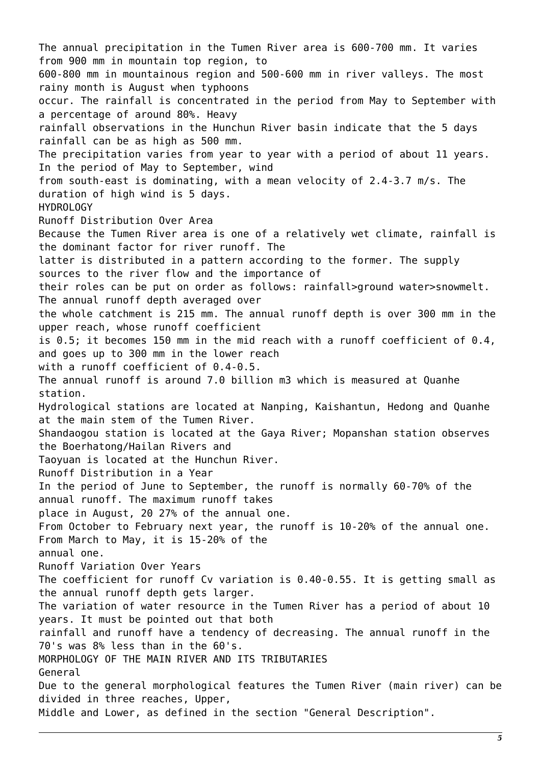The annual precipitation in the Tumen River area is 600-700 mm. It varies from 900 mm in mountain top region, to 600-800 mm in mountainous region and 500-600 mm in river valleys. The most rainy month is August when typhoons occur. The rainfall is concentrated in the period from May to September with a percentage of around 80%. Heavy rainfall observations in the Hunchun River basin indicate that the 5 days rainfall can be as high as 500 mm. The precipitation varies from year to year with a period of about 11 years. In the period of May to September, wind from south-east is dominating, with a mean velocity of 2.4-3.7 m/s. The duration of high wind is 5 days. HYDROLOGY Runoff Distribution Over Area Because the Tumen River area is one of a relatively wet climate, rainfall is the dominant factor for river runoff. The latter is distributed in a pattern according to the former. The supply sources to the river flow and the importance of their roles can be put on order as follows: rainfall>ground water>snowmelt. The annual runoff depth averaged over the whole catchment is 215 mm. The annual runoff depth is over 300 mm in the upper reach, whose runoff coefficient is 0.5; it becomes 150 mm in the mid reach with a runoff coefficient of 0.4, and goes up to 300 mm in the lower reach with a runoff coefficient of 0.4-0.5. The annual runoff is around 7.0 billion m3 which is measured at Quanhe station. Hydrological stations are located at Nanping, Kaishantun, Hedong and Quanhe at the main stem of the Tumen River. Shandaogou station is located at the Gaya River; Mopanshan station observes the Boerhatong/Hailan Rivers and Taoyuan is located at the Hunchun River. Runoff Distribution in a Year In the period of June to September, the runoff is normally 60-70% of the annual runoff. The maximum runoff takes place in August, 20 27% of the annual one. From October to February next year, the runoff is 10-20% of the annual one. From March to May, it is 15-20% of the annual one. Runoff Variation Over Years The coefficient for runoff Cv variation is 0.40-0.55. It is getting small as the annual runoff depth gets larger. The variation of water resource in the Tumen River has a period of about 10 years. It must be pointed out that both rainfall and runoff have a tendency of decreasing. The annual runoff in the 70's was 8% less than in the 60's. MORPHOLOGY OF THE MAIN RIVER AND ITS TRIBUTARIES General Due to the general morphological features the Tumen River (main river) can be divided in three reaches, Upper, Middle and Lower, as defined in the section "General Description".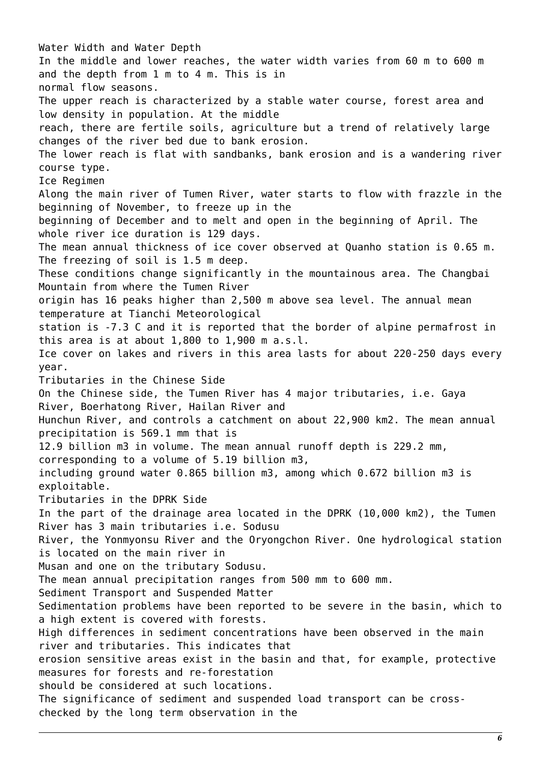Water Width and Water Depth In the middle and lower reaches, the water width varies from 60 m to 600 m and the depth from 1 m to 4 m. This is in normal flow seasons. The upper reach is characterized by a stable water course, forest area and low density in population. At the middle reach, there are fertile soils, agriculture but a trend of relatively large changes of the river bed due to bank erosion. The lower reach is flat with sandbanks, bank erosion and is a wandering river course type. Ice Regimen Along the main river of Tumen River, water starts to flow with frazzle in the beginning of November, to freeze up in the beginning of December and to melt and open in the beginning of April. The whole river ice duration is 129 days. The mean annual thickness of ice cover observed at Quanho station is 0.65 m. The freezing of soil is 1.5 m deep. These conditions change significantly in the mountainous area. The Changbai Mountain from where the Tumen River origin has 16 peaks higher than 2,500 m above sea level. The annual mean temperature at Tianchi Meteorological station is -7.3 C and it is reported that the border of alpine permafrost in this area is at about 1,800 to 1,900 m a.s.l. Ice cover on lakes and rivers in this area lasts for about 220-250 days every year. Tributaries in the Chinese Side On the Chinese side, the Tumen River has 4 major tributaries, i.e. Gaya River, Boerhatong River, Hailan River and Hunchun River, and controls a catchment on about 22,900 km2. The mean annual precipitation is 569.1 mm that is 12.9 billion m3 in volume. The mean annual runoff depth is 229.2 mm, corresponding to a volume of 5.19 billion m3, including ground water 0.865 billion m3, among which 0.672 billion m3 is exploitable. Tributaries in the DPRK Side In the part of the drainage area located in the DPRK (10,000 km2), the Tumen River has 3 main tributaries i.e. Sodusu River, the Yonmyonsu River and the Oryongchon River. One hydrological station is located on the main river in Musan and one on the tributary Sodusu. The mean annual precipitation ranges from 500 mm to 600 mm. Sediment Transport and Suspended Matter Sedimentation problems have been reported to be severe in the basin, which to a high extent is covered with forests. High differences in sediment concentrations have been observed in the main river and tributaries. This indicates that erosion sensitive areas exist in the basin and that, for example, protective measures for forests and re-forestation should be considered at such locations. The significance of sediment and suspended load transport can be crosschecked by the long term observation in the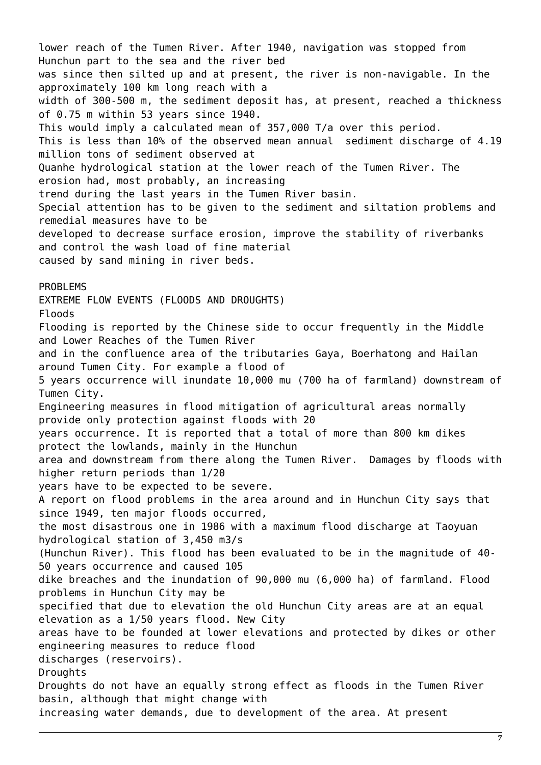lower reach of the Tumen River. After 1940, navigation was stopped from Hunchun part to the sea and the river bed was since then silted up and at present, the river is non-navigable. In the approximately 100 km long reach with a width of 300-500 m, the sediment deposit has, at present, reached a thickness of 0.75 m within 53 years since 1940. This would imply a calculated mean of 357,000 T/a over this period. This is less than 10% of the observed mean annual sediment discharge of 4.19 million tons of sediment observed at Quanhe hydrological station at the lower reach of the Tumen River. The erosion had, most probably, an increasing trend during the last years in the Tumen River basin. Special attention has to be given to the sediment and siltation problems and remedial measures have to be developed to decrease surface erosion, improve the stability of riverbanks and control the wash load of fine material caused by sand mining in river beds. PROBLEMS EXTREME FLOW EVENTS (FLOODS AND DROUGHTS) Floods Flooding is reported by the Chinese side to occur frequently in the Middle and Lower Reaches of the Tumen River and in the confluence area of the tributaries Gaya, Boerhatong and Hailan around Tumen City. For example a flood of 5 years occurrence will inundate 10,000 mu (700 ha of farmland) downstream of Tumen City. Engineering measures in flood mitigation of agricultural areas normally provide only protection against floods with 20 years occurrence. It is reported that a total of more than 800 km dikes protect the lowlands, mainly in the Hunchun area and downstream from there along the Tumen River. Damages by floods with higher return periods than 1/20 years have to be expected to be severe. A report on flood problems in the area around and in Hunchun City says that since 1949, ten major floods occurred, the most disastrous one in 1986 with a maximum flood discharge at Taoyuan hydrological station of 3,450 m3/s (Hunchun River). This flood has been evaluated to be in the magnitude of 40- 50 years occurrence and caused 105 dike breaches and the inundation of 90,000 mu (6,000 ha) of farmland. Flood problems in Hunchun City may be specified that due to elevation the old Hunchun City areas are at an equal elevation as a 1/50 years flood. New City areas have to be founded at lower elevations and protected by dikes or other engineering measures to reduce flood discharges (reservoirs). **Droughts** Droughts do not have an equally strong effect as floods in the Tumen River basin, although that might change with increasing water demands, due to development of the area. At present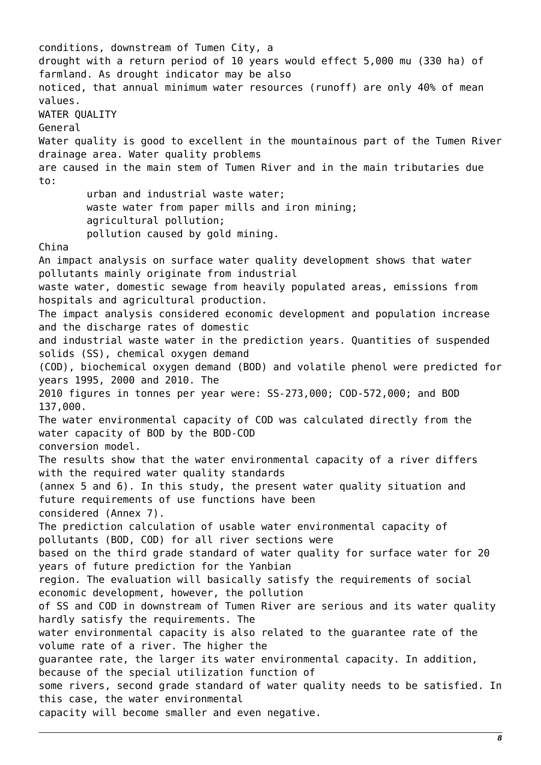conditions, downstream of Tumen City, a drought with a return period of 10 years would effect 5,000 mu (330 ha) of farmland. As drought indicator may be also noticed, that annual minimum water resources (runoff) are only 40% of mean values. WATER QUALITY General Water quality is good to excellent in the mountainous part of the Tumen River drainage area. Water quality problems are caused in the main stem of Tumen River and in the main tributaries due to: urban and industrial waste water; waste water from paper mills and iron mining; agricultural pollution; pollution caused by gold mining. China An impact analysis on surface water quality development shows that water pollutants mainly originate from industrial waste water, domestic sewage from heavily populated areas, emissions from hospitals and agricultural production. The impact analysis considered economic development and population increase and the discharge rates of domestic and industrial waste water in the prediction years. Quantities of suspended solids (SS), chemical oxygen demand (COD), biochemical oxygen demand (BOD) and volatile phenol were predicted for years 1995, 2000 and 2010. The 2010 figures in tonnes per year were: SS-273,000; COD-572,000; and BOD 137,000. The water environmental capacity of COD was calculated directly from the water capacity of BOD by the BOD-COD conversion model. The results show that the water environmental capacity of a river differs with the required water quality standards (annex 5 and 6). In this study, the present water quality situation and future requirements of use functions have been considered (Annex 7). The prediction calculation of usable water environmental capacity of pollutants (BOD, COD) for all river sections were based on the third grade standard of water quality for surface water for 20 years of future prediction for the Yanbian region. The evaluation will basically satisfy the requirements of social economic development, however, the pollution of SS and COD in downstream of Tumen River are serious and its water quality hardly satisfy the requirements. The water environmental capacity is also related to the guarantee rate of the volume rate of a river. The higher the guarantee rate, the larger its water environmental capacity. In addition, because of the special utilization function of some rivers, second grade standard of water quality needs to be satisfied. In this case, the water environmental capacity will become smaller and even negative.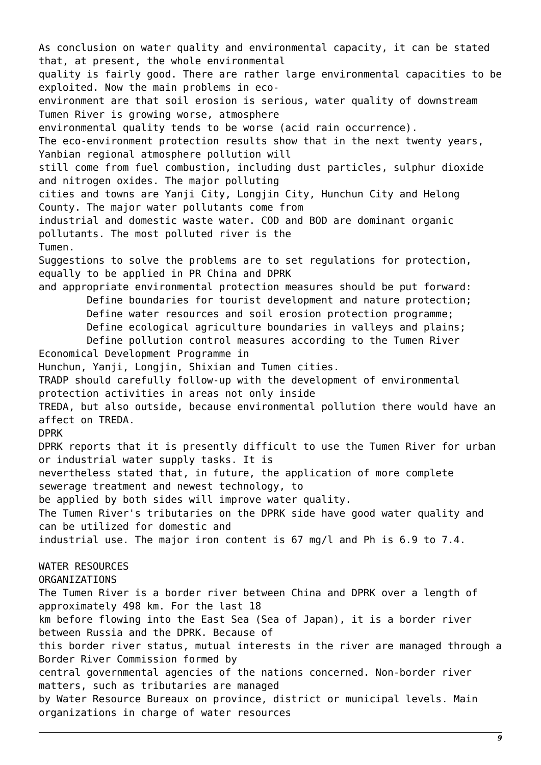As conclusion on water quality and environmental capacity, it can be stated that, at present, the whole environmental quality is fairly good. There are rather large environmental capacities to be exploited. Now the main problems in ecoenvironment are that soil erosion is serious, water quality of downstream Tumen River is growing worse, atmosphere environmental quality tends to be worse (acid rain occurrence). The eco-environment protection results show that in the next twenty years, Yanbian regional atmosphere pollution will still come from fuel combustion, including dust particles, sulphur dioxide and nitrogen oxides. The major polluting cities and towns are Yanji City, Longjin City, Hunchun City and Helong County. The major water pollutants come from industrial and domestic waste water. COD and BOD are dominant organic pollutants. The most polluted river is the Tumen. Suggestions to solve the problems are to set regulations for protection, equally to be applied in PR China and DPRK and appropriate environmental protection measures should be put forward: Define boundaries for tourist development and nature protection; Define water resources and soil erosion protection programme; Define ecological agriculture boundaries in valleys and plains; Define pollution control measures according to the Tumen River Economical Development Programme in Hunchun, Yanji, Longjin, Shixian and Tumen cities. TRADP should carefully follow-up with the development of environmental protection activities in areas not only inside TREDA, but also outside, because environmental pollution there would have an affect on TREDA. DPRK DPRK reports that it is presently difficult to use the Tumen River for urban or industrial water supply tasks. It is nevertheless stated that, in future, the application of more complete sewerage treatment and newest technology, to be applied by both sides will improve water quality. The Tumen River's tributaries on the DPRK side have good water quality and can be utilized for domestic and industrial use. The major iron content is 67 mg/l and Ph is 6.9 to 7.4. WATER RESOURCES ORGANIZATIONS The Tumen River is a border river between China and DPRK over a length of approximately 498 km. For the last 18 km before flowing into the East Sea (Sea of Japan), it is a border river between Russia and the DPRK. Because of this border river status, mutual interests in the river are managed through a Border River Commission formed by central governmental agencies of the nations concerned. Non-border river matters, such as tributaries are managed by Water Resource Bureaux on province, district or municipal levels. Main organizations in charge of water resources

*9*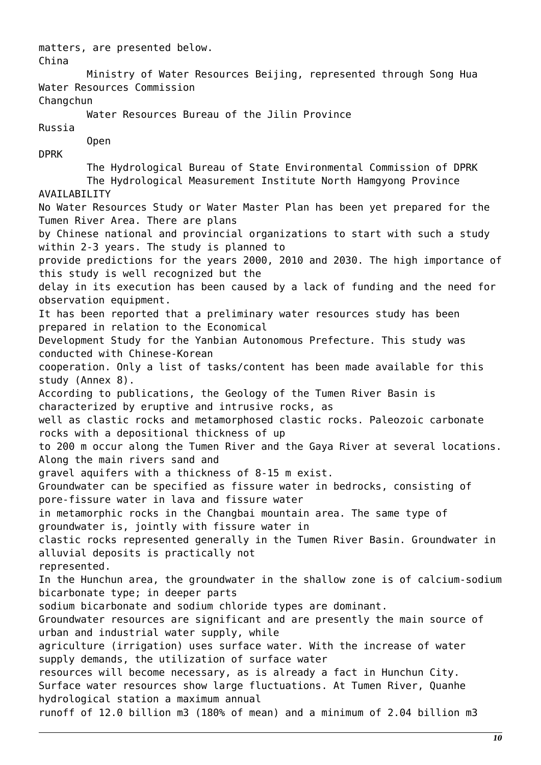matters, are presented below. China Ministry of Water Resources Beijing, represented through Song Hua Water Resources Commission **Changchun**  Water Resources Bureau of the Jilin Province Russia Open DPRK The Hydrological Bureau of State Environmental Commission of DPRK The Hydrological Measurement Institute North Hamgyong Province AVAILABILITY No Water Resources Study or Water Master Plan has been yet prepared for the Tumen River Area. There are plans by Chinese national and provincial organizations to start with such a study within 2-3 years. The study is planned to provide predictions for the years 2000, 2010 and 2030. The high importance of this study is well recognized but the delay in its execution has been caused by a lack of funding and the need for observation equipment. It has been reported that a preliminary water resources study has been prepared in relation to the Economical Development Study for the Yanbian Autonomous Prefecture. This study was conducted with Chinese-Korean cooperation. Only a list of tasks/content has been made available for this study (Annex 8). According to publications, the Geology of the Tumen River Basin is characterized by eruptive and intrusive rocks, as well as clastic rocks and metamorphosed clastic rocks. Paleozoic carbonate rocks with a depositional thickness of up to 200 m occur along the Tumen River and the Gaya River at several locations. Along the main rivers sand and gravel aquifers with a thickness of 8-15 m exist. Groundwater can be specified as fissure water in bedrocks, consisting of pore-fissure water in lava and fissure water in metamorphic rocks in the Changbai mountain area. The same type of groundwater is, jointly with fissure water in clastic rocks represented generally in the Tumen River Basin. Groundwater in alluvial deposits is practically not represented. In the Hunchun area, the groundwater in the shallow zone is of calcium-sodium bicarbonate type; in deeper parts sodium bicarbonate and sodium chloride types are dominant. Groundwater resources are significant and are presently the main source of urban and industrial water supply, while agriculture (irrigation) uses surface water. With the increase of water supply demands, the utilization of surface water resources will become necessary, as is already a fact in Hunchun City. Surface water resources show large fluctuations. At Tumen River, Quanhe hydrological station a maximum annual runoff of 12.0 billion m3 (180% of mean) and a minimum of 2.04 billion m3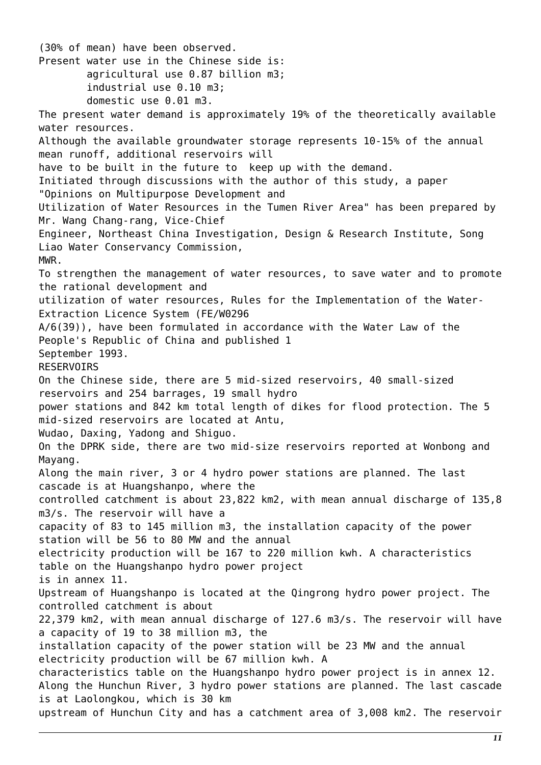(30% of mean) have been observed. Present water use in the Chinese side is: agricultural use 0.87 billion m3; industrial use 0.10 m3; domestic use 0.01 m3. The present water demand is approximately 19% of the theoretically available water resources. Although the available groundwater storage represents 10-15% of the annual mean runoff, additional reservoirs will have to be built in the future to keep up with the demand. Initiated through discussions with the author of this study, a paper "Opinions on Multipurpose Development and Utilization of Water Resources in the Tumen River Area" has been prepared by Mr. Wang Chang-rang, Vice-Chief Engineer, Northeast China Investigation, Design & Research Institute, Song Liao Water Conservancy Commission, MWR. To strengthen the management of water resources, to save water and to promote the rational development and utilization of water resources, Rules for the Implementation of the Water-Extraction Licence System (FE/W0296 A/6(39)), have been formulated in accordance with the Water Law of the People's Republic of China and published 1 September 1993. RESERVOIRS On the Chinese side, there are 5 mid-sized reservoirs, 40 small-sized reservoirs and 254 barrages, 19 small hydro power stations and 842 km total length of dikes for flood protection. The 5 mid-sized reservoirs are located at Antu, Wudao, Daxing, Yadong and Shiguo. On the DPRK side, there are two mid-size reservoirs reported at Wonbong and Mayang. Along the main river, 3 or 4 hydro power stations are planned. The last cascade is at Huangshanpo, where the controlled catchment is about 23,822 km2, with mean annual discharge of 135,8 m3/s. The reservoir will have a capacity of 83 to 145 million m3, the installation capacity of the power station will be 56 to 80 MW and the annual electricity production will be 167 to 220 million kwh. A characteristics table on the Huangshanpo hydro power project is in annex 11. Upstream of Huangshanpo is located at the Qingrong hydro power project. The controlled catchment is about 22,379 km2, with mean annual discharge of 127.6 m3/s. The reservoir will have a capacity of 19 to 38 million m3, the installation capacity of the power station will be 23 MW and the annual electricity production will be 67 million kwh. A characteristics table on the Huangshanpo hydro power project is in annex 12. Along the Hunchun River, 3 hydro power stations are planned. The last cascade is at Laolongkou, which is 30 km upstream of Hunchun City and has a catchment area of 3,008 km2. The reservoir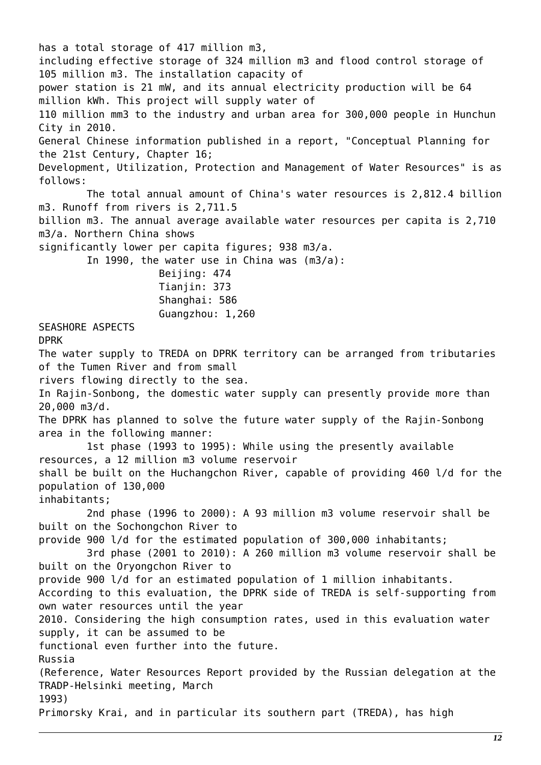has a total storage of 417 million m3, including effective storage of 324 million m3 and flood control storage of 105 million m3. The installation capacity of power station is 21 mW, and its annual electricity production will be 64 million kWh. This project will supply water of 110 million mm3 to the industry and urban area for 300,000 people in Hunchun City in 2010. General Chinese information published in a report, "Conceptual Planning for the 21st Century, Chapter 16; Development, Utilization, Protection and Management of Water Resources" is as follows: The total annual amount of China's water resources is 2,812.4 billion m3. Runoff from rivers is 2,711.5 billion m3. The annual average available water resources per capita is 2,710 m3/a. Northern China shows significantly lower per capita figures; 938 m3/a. In 1990, the water use in China was (m3/a): Beijing: 474 Tianjin: 373 Shanghai: 586 Guangzhou: 1,260 SEASHORE ASPECTS DPRK The water supply to TREDA on DPRK territory can be arranged from tributaries of the Tumen River and from small rivers flowing directly to the sea. In Rajin-Sonbong, the domestic water supply can presently provide more than 20,000 m3/d. The DPRK has planned to solve the future water supply of the Rajin-Sonbong area in the following manner: 1st phase (1993 to 1995): While using the presently available resources, a 12 million m3 volume reservoir shall be built on the Huchangchon River, capable of providing 460 l/d for the population of 130,000 inhabitants; 2nd phase (1996 to 2000): A 93 million m3 volume reservoir shall be built on the Sochongchon River to provide 900 l/d for the estimated population of 300,000 inhabitants; 3rd phase (2001 to 2010): A 260 million m3 volume reservoir shall be built on the Oryongchon River to provide 900 l/d for an estimated population of 1 million inhabitants. According to this evaluation, the DPRK side of TREDA is self-supporting from own water resources until the year 2010. Considering the high consumption rates, used in this evaluation water supply, it can be assumed to be functional even further into the future. Russia (Reference, Water Resources Report provided by the Russian delegation at the TRADP-Helsinki meeting, March 1993) Primorsky Krai, and in particular its southern part (TREDA), has high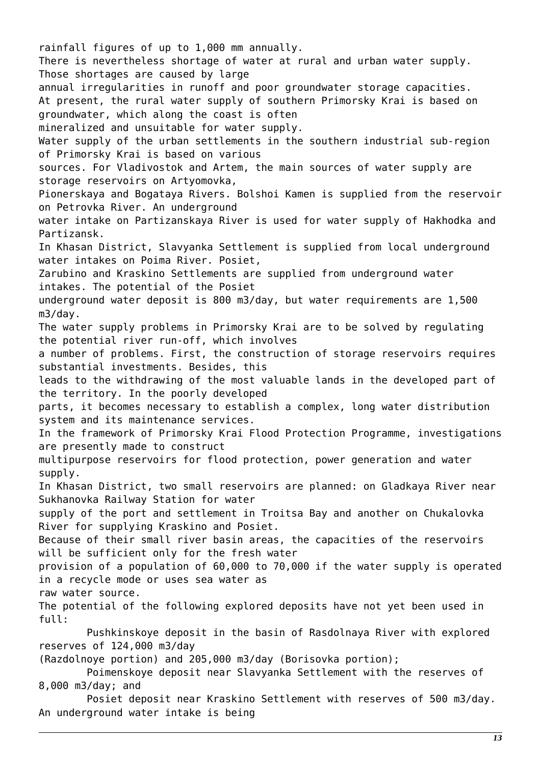rainfall figures of up to 1,000 mm annually. There is nevertheless shortage of water at rural and urban water supply. Those shortages are caused by large annual irregularities in runoff and poor groundwater storage capacities. At present, the rural water supply of southern Primorsky Krai is based on groundwater, which along the coast is often mineralized and unsuitable for water supply. Water supply of the urban settlements in the southern industrial sub-region of Primorsky Krai is based on various sources. For Vladivostok and Artem, the main sources of water supply are storage reservoirs on Artyomovka, Pionerskaya and Bogataya Rivers. Bolshoi Kamen is supplied from the reservoir on Petrovka River. An underground water intake on Partizanskaya River is used for water supply of Hakhodka and Partizansk. In Khasan District, Slavyanka Settlement is supplied from local underground water intakes on Poima River. Posiet, Zarubino and Kraskino Settlements are supplied from underground water intakes. The potential of the Posiet underground water deposit is 800 m3/day, but water requirements are 1,500 m3/day. The water supply problems in Primorsky Krai are to be solved by regulating the potential river run-off, which involves a number of problems. First, the construction of storage reservoirs requires substantial investments. Besides, this leads to the withdrawing of the most valuable lands in the developed part of the territory. In the poorly developed parts, it becomes necessary to establish a complex, long water distribution system and its maintenance services. In the framework of Primorsky Krai Flood Protection Programme, investigations are presently made to construct multipurpose reservoirs for flood protection, power generation and water supply. In Khasan District, two small reservoirs are planned: on Gladkaya River near Sukhanovka Railway Station for water supply of the port and settlement in Troitsa Bay and another on Chukalovka River for supplying Kraskino and Posiet. Because of their small river basin areas, the capacities of the reservoirs will be sufficient only for the fresh water provision of a population of 60,000 to 70,000 if the water supply is operated in a recycle mode or uses sea water as raw water source. The potential of the following explored deposits have not yet been used in full: Pushkinskoye deposit in the basin of Rasdolnaya River with explored reserves of 124,000 m3/day (Razdolnoye portion) and 205,000 m3/day (Borisovka portion); Poimenskoye deposit near Slavyanka Settlement with the reserves of 8,000 m3/day; and Posiet deposit near Kraskino Settlement with reserves of 500 m3/day. An underground water intake is being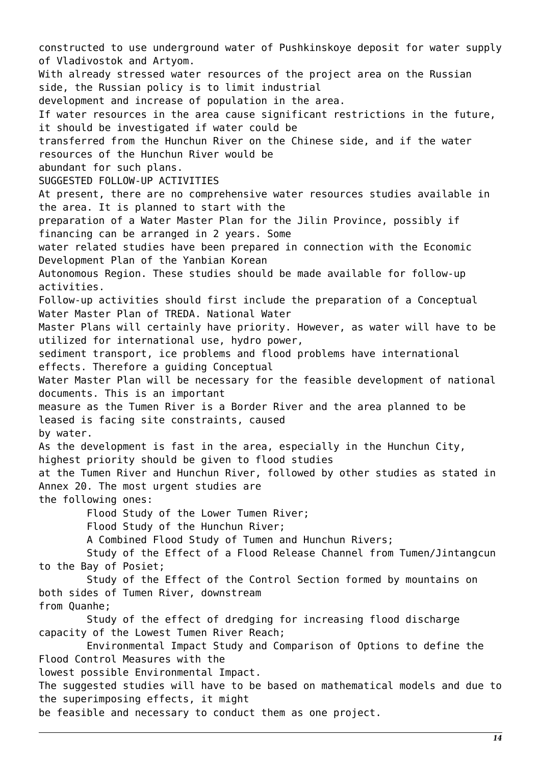constructed to use underground water of Pushkinskoye deposit for water supply of Vladivostok and Artyom. With already stressed water resources of the project area on the Russian side, the Russian policy is to limit industrial development and increase of population in the area. If water resources in the area cause significant restrictions in the future, it should be investigated if water could be transferred from the Hunchun River on the Chinese side, and if the water resources of the Hunchun River would be abundant for such plans. SUGGESTED FOLLOW-UP ACTIVITIES At present, there are no comprehensive water resources studies available in the area. It is planned to start with the preparation of a Water Master Plan for the Jilin Province, possibly if financing can be arranged in 2 years. Some water related studies have been prepared in connection with the Economic Development Plan of the Yanbian Korean Autonomous Region. These studies should be made available for follow-up activities. Follow-up activities should first include the preparation of a Conceptual Water Master Plan of TREDA. National Water Master Plans will certainly have priority. However, as water will have to be utilized for international use, hydro power, sediment transport, ice problems and flood problems have international effects. Therefore a guiding Conceptual Water Master Plan will be necessary for the feasible development of national documents. This is an important measure as the Tumen River is a Border River and the area planned to be leased is facing site constraints, caused by water. As the development is fast in the area, especially in the Hunchun City, highest priority should be given to flood studies at the Tumen River and Hunchun River, followed by other studies as stated in Annex 20. The most urgent studies are the following ones: Flood Study of the Lower Tumen River; Flood Study of the Hunchun River; A Combined Flood Study of Tumen and Hunchun Rivers; Study of the Effect of a Flood Release Channel from Tumen/Jintangcun to the Bay of Posiet; Study of the Effect of the Control Section formed by mountains on both sides of Tumen River, downstream from Quanhe; Study of the effect of dredging for increasing flood discharge capacity of the Lowest Tumen River Reach; Environmental Impact Study and Comparison of Options to define the Flood Control Measures with the lowest possible Environmental Impact. The suggested studies will have to be based on mathematical models and due to the superimposing effects, it might

be feasible and necessary to conduct them as one project.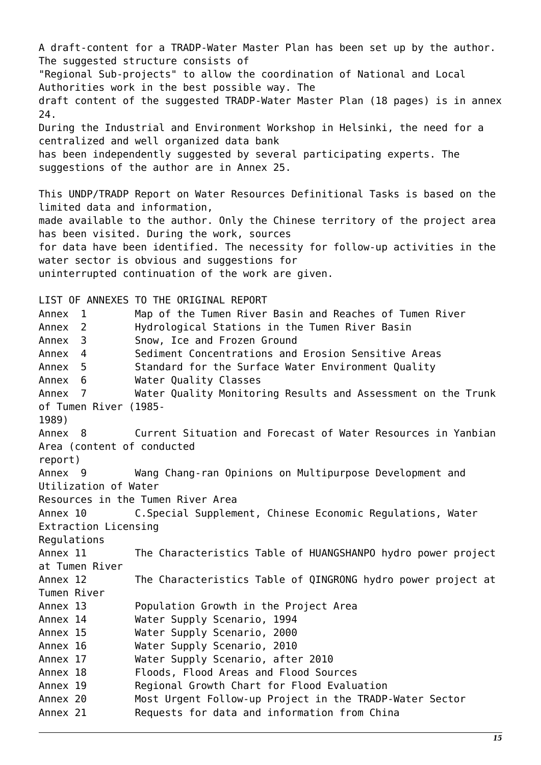A draft-content for a TRADP-Water Master Plan has been set up by the author. The suggested structure consists of "Regional Sub-projects" to allow the coordination of National and Local Authorities work in the best possible way. The draft content of the suggested TRADP-Water Master Plan (18 pages) is in annex 24. During the Industrial and Environment Workshop in Helsinki, the need for a centralized and well organized data bank has been independently suggested by several participating experts. The suggestions of the author are in Annex 25. This UNDP/TRADP Report on Water Resources Definitional Tasks is based on the limited data and information, made available to the author. Only the Chinese territory of the project area has been visited. During the work, sources for data have been identified. The necessity for follow-up activities in the water sector is obvious and suggestions for uninterrupted continuation of the work are given. LIST OF ANNEXES TO THE ORIGINAL REPORT Annex 1 Map of the Tumen River Basin and Reaches of Tumen River Annex 2 Hydrological Stations in the Tumen River Basin Annex 3 Snow, Ice and Frozen Ground Annex 4 Sediment Concentrations and Erosion Sensitive Areas Annex 5 Standard for the Surface Water Environment Quality Annex 6 Water Quality Classes Annex 7 Water Quality Monitoring Results and Assessment on the Trunk of Tumen River (1985- 1989) Annex 8 Current Situation and Forecast of Water Resources in Yanbian Area (content of conducted report) Annex 9 Wang Chang-ran Opinions on Multipurpose Development and Utilization of Water Resources in the Tumen River Area Annex 10 C.Special Supplement, Chinese Economic Regulations, Water Extraction Licensing **Requlations** Annex 11 The Characteristics Table of HUANGSHANPO hydro power project at Tumen River Annex 12 The Characteristics Table of QINGRONG hydro power project at Tumen River Annex 13 Population Growth in the Project Area Annex 14 Water Supply Scenario, 1994 Annex 15 Water Supply Scenario, 2000 Annex 16 Water Supply Scenario, 2010 Annex 17 Water Supply Scenario, after 2010 Annex 18 Floods, Flood Areas and Flood Sources Annex 19 Regional Growth Chart for Flood Evaluation Annex 20 Most Urgent Follow-up Project in the TRADP-Water Sector Annex 21 Requests for data and information from China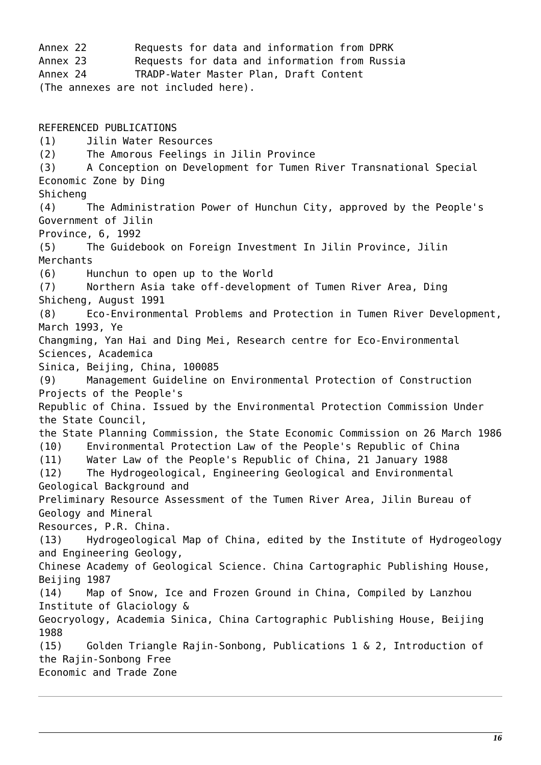Annex 22 Requests for data and information from DPRK Annex 23 Requests for data and information from Russia Annex 24 TRADP-Water Master Plan, Draft Content (The annexes are not included here). REFERENCED PUBLICATIONS (1) Jilin Water Resources (2) The Amorous Feelings in Jilin Province (3) A Conception on Development for Tumen River Transnational Special Economic Zone by Ding Shicheng (4) The Administration Power of Hunchun City, approved by the People's Government of Jilin Province, 6, 1992 (5) The Guidebook on Foreign Investment In Jilin Province, Jilin Merchants (6) Hunchun to open up to the World (7) Northern Asia take off-development of Tumen River Area, Ding Shicheng, August 1991 (8) Eco-Environmental Problems and Protection in Tumen River Development, March 1993, Ye Changming, Yan Hai and Ding Mei, Research centre for Eco-Environmental Sciences, Academica Sinica, Beijing, China, 100085 (9) Management Guideline on Environmental Protection of Construction Projects of the People's Republic of China. Issued by the Environmental Protection Commission Under the State Council, the State Planning Commission, the State Economic Commission on 26 March 1986 (10) Environmental Protection Law of the People's Republic of China (11) Water Law of the People's Republic of China, 21 January 1988 (12) The Hydrogeological, Engineering Geological and Environmental Geological Background and Preliminary Resource Assessment of the Tumen River Area, Jilin Bureau of Geology and Mineral Resources, P.R. China. (13) Hydrogeological Map of China, edited by the Institute of Hydrogeology and Engineering Geology, Chinese Academy of Geological Science. China Cartographic Publishing House, Beijing 1987 (14) Map of Snow, Ice and Frozen Ground in China, Compiled by Lanzhou Institute of Glaciology & Geocryology, Academia Sinica, China Cartographic Publishing House, Beijing 1988 (15) Golden Triangle Rajin-Sonbong, Publications 1 & 2, Introduction of the Rajin-Sonbong Free Economic and Trade Zone